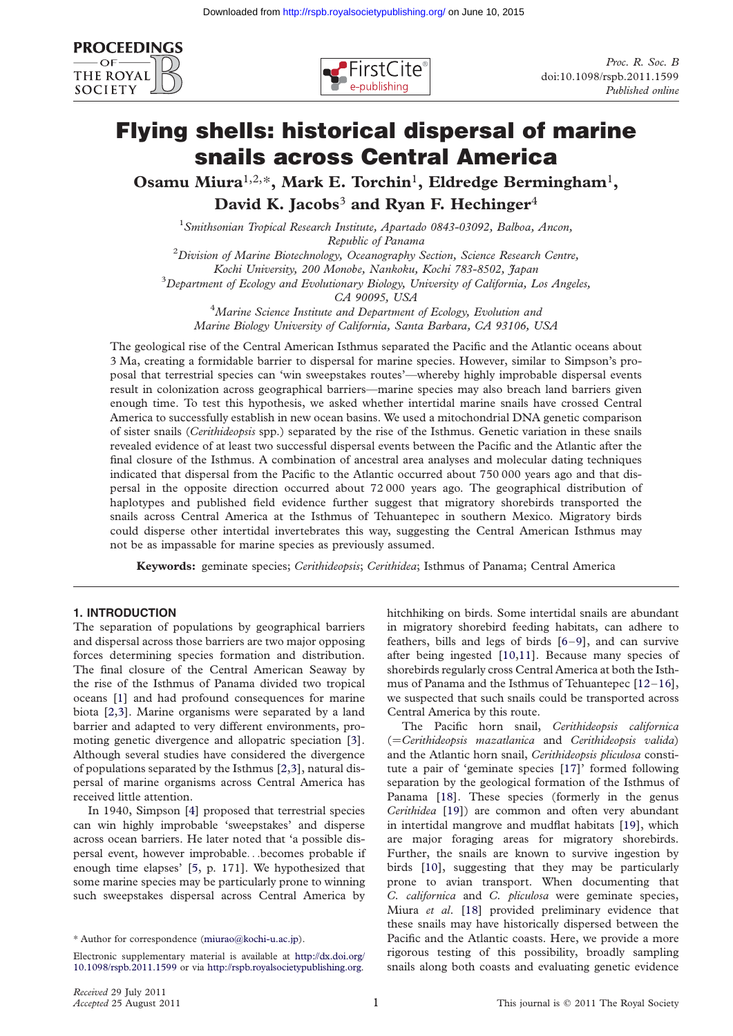



# Flying shells: historical dispersal of marine snails across Central America

Osamu Miura<sup>1,2,\*</sup>, Mark E. Torchin<sup>1</sup>, Eldredge Bermingham<sup>1</sup>, David K. Jacobs<sup>3</sup> and Ryan F. Hechinger<sup>4</sup>

<sup>1</sup> Smithsonian Tropical Research Institute, Apartado 0843-03092, Balboa, Ancon, Republic of Panama<br><sup>2</sup> Division of Marine Biotechnology, Oceanography Section, Science Research Centre, Kochi University, 200 Monobe, Nankoku, Kochi 783-8502, Japan  $^3$ Department of Ecology and Evolutionary Biology, University of California, Los Angeles,

CA 90095, USA <sup>4</sup> Marine Science Institute and Department of Ecology, Evolution and Marine Biology University of California, Santa Barbara, CA 93106, USA

The geological rise of the Central American Isthmus separated the Pacific and the Atlantic oceans about 3 Ma, creating a formidable barrier to dispersal for marine species. However, similar to Simpson's proposal that terrestrial species can 'win sweepstakes routes'—whereby highly improbable dispersal events result in colonization across geographical barriers—marine species may also breach land barriers given enough time. To test this hypothesis, we asked whether intertidal marine snails have crossed Central America to successfully establish in new ocean basins. We used a mitochondrial DNA genetic comparison of sister snails (Cerithideopsis spp.) separated by the rise of the Isthmus. Genetic variation in these snails revealed evidence of at least two successful dispersal events between the Pacific and the Atlantic after the final closure of the Isthmus. A combination of ancestral area analyses and molecular dating techniques indicated that dispersal from the Pacific to the Atlantic occurred about 750 000 years ago and that dispersal in the opposite direction occurred about 72 000 years ago. The geographical distribution of haplotypes and published field evidence further suggest that migratory shorebirds transported the snails across Central America at the Isthmus of Tehuantepec in southern Mexico. Migratory birds could disperse other intertidal invertebrates this way, suggesting the Central American Isthmus may not be as impassable for marine species as previously assumed.

Keywords: geminate species; Cerithideopsis; Cerithidea; Isthmus of Panama; Central America

## 1. INTRODUCTION

The separation of populations by geographical barriers and dispersal across those barriers are two major opposing forces determining species formation and distribution. The final closure of the Central American Seaway by the rise of the Isthmus of Panama divided two tropical oceans [\[1](#page-5-0)] and had profound consequences for marine biota [[2,3\]](#page-5-0). Marine organisms were separated by a land barrier and adapted to very different environments, promoting genetic divergence and allopatric speciation [[3](#page-5-0)]. Although several studies have considered the divergence of populations separated by the Isthmus [\[2,3](#page-5-0)], natural dispersal of marine organisms across Central America has received little attention.

In 1940, Simpson [\[4\]](#page-5-0) proposed that terrestrial species can win highly improbable 'sweepstakes' and disperse across ocean barriers. He later noted that 'a possible dispersal event, however improbable...becomes probable if enough time elapses' [[5](#page-5-0), p. 171]. We hypothesized that some marine species may be particularly prone to winning such sweepstakes dispersal across Central America by hitchhiking on birds. Some intertidal snails are abundant in migratory shorebird feeding habitats, can adhere to feathers, bills and legs of birds [\[6](#page-5-0)–[9](#page-5-0)], and can survive after being ingested [\[10,11\]](#page-5-0). Because many species of shorebirds regularly cross Central America at both the Isthmus of Panama and the Isthmus of Tehuantepec [[12](#page-5-0)–[16](#page-5-0)], we suspected that such snails could be transported across Central America by this route.

The Pacific horn snail, Cerithideopsis californica (=Cerithideopsis mazatlanica and Cerithideopsis valida) and the Atlantic horn snail, Cerithideopsis pliculosa constitute a pair of 'geminate species [\[17\]](#page-5-0)' formed following separation by the geological formation of the Isthmus of Panama [[18](#page-5-0)]. These species (formerly in the genus Cerithidea [[19](#page-5-0)]) are common and often very abundant in intertidal mangrove and mudflat habitats [\[19\]](#page-5-0), which are major foraging areas for migratory shorebirds. Further, the snails are known to survive ingestion by birds [\[10\]](#page-5-0), suggesting that they may be particularly prone to avian transport. When documenting that C. californica and C. pliculosa were geminate species, Miura et al. [[18](#page-5-0)] provided preliminary evidence that these snails may have historically dispersed between the Pacific and the Atlantic coasts. Here, we provide a more rigorous testing of this possibility, broadly sampling snails along both coasts and evaluating genetic evidence

<sup>\*</sup> Author for correspondence ([miurao@kochi-u.ac.jp\)](mailto:miurao@kochi-u.ac.jp).

Electronic supplementary material is available at [http://dx.doi.org/](http://dx.doi.org/10.1098/rspb.2011.1599) [10.1098/rspb.2011.1599](http://dx.doi.org/10.1098/rspb.2011.1599) or via <http://rspb.royalsocietypublishing.org>.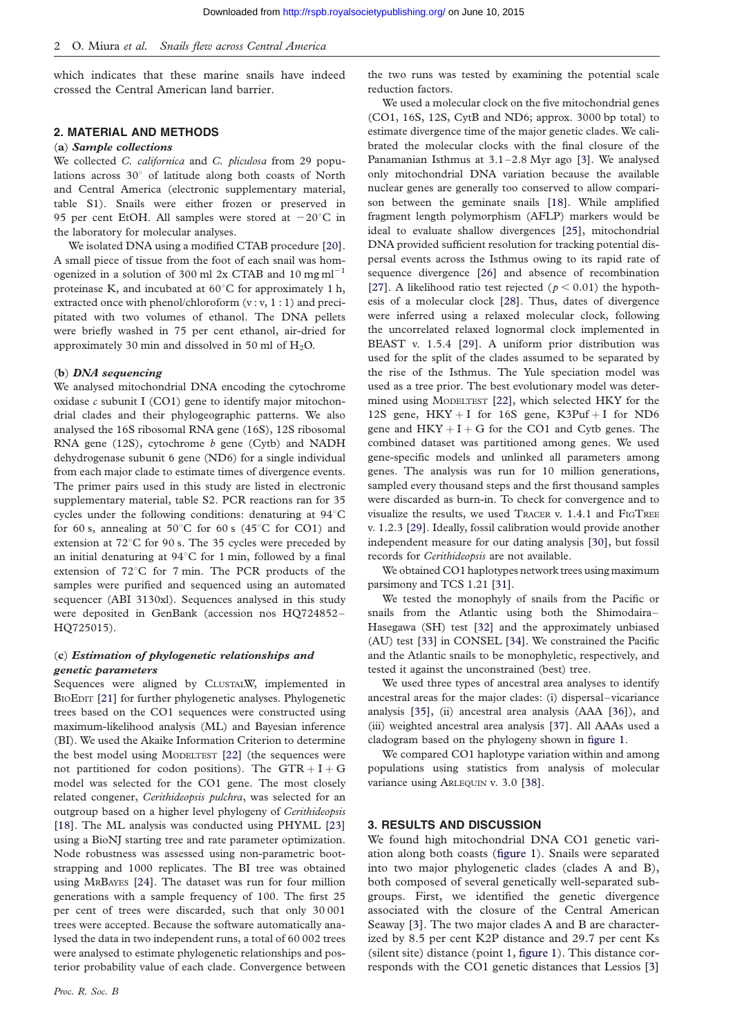which indicates that these marine snails have indeed crossed the Central American land barrier.

## 2. MATERIAL AND METHODS

#### (a) Sample collections

We collected C. californica and C. pliculosa from 29 populations across 30° of latitude along both coasts of North and Central America (electronic supplementary material, table S1). Snails were either frozen or preserved in 95 per cent EtOH. All samples were stored at  $-20^{\circ}$ C in the laboratory for molecular analyses.

We isolated DNA using a modified CTAB procedure [[20\]](#page-5-0). A small piece of tissue from the foot of each snail was homogenized in a solution of 300 ml 2x CTAB and 10 mg  $ml^{-1}$ proteinase K, and incubated at  $60^{\circ}$ C for approximately 1 h, extracted once with phenol/chloroform (v: v, 1:1) and precipitated with two volumes of ethanol. The DNA pellets were briefly washed in 75 per cent ethanol, air-dried for approximately 30 min and dissolved in 50 ml of  $H_2O$ .

#### $(b)$  DNA sequencing

We analysed mitochondrial DNA encoding the cytochrome oxidase  $c$  subunit I (CO1) gene to identify major mitochondrial clades and their phylogeographic patterns. We also analysed the 16S ribosomal RNA gene (16S), 12S ribosomal RNA gene  $(12S)$ , cytochrome b gene  $(Cytb)$  and NADH dehydrogenase subunit 6 gene (ND6) for a single individual from each major clade to estimate times of divergence events. The primer pairs used in this study are listed in electronic supplementary material, table S2. PCR reactions ran for 35 cycles under the following conditions: denaturing at  $94^{\circ}$ C for 60 s, annealing at 50 $\degree$ C for 60 s (45 $\degree$ C for CO1) and extension at  $72^{\circ}$ C for 90 s. The 35 cycles were preceded by an initial denaturing at  $94^{\circ}$ C for 1 min, followed by a final extension of 72°C for 7 min. The PCR products of the samples were purified and sequenced using an automated sequencer (ABI 3130xl). Sequences analysed in this study were deposited in GenBank (accession nos HQ724852– HQ725015).

## (c) Estimation of phylogenetic relationships and genetic parameters

Sequences were aligned by CLUSTALW, implemented in BIOEDIT [\[21\]](#page-5-0) for further phylogenetic analyses. Phylogenetic trees based on the CO1 sequences were constructed using maximum-likelihood analysis (ML) and Bayesian inference (BI). We used the Akaike Information Criterion to determine the best model using MODELTEST [[22](#page-5-0)] (the sequences were not partitioned for codon positions). The  $GTR + I + G$ model was selected for the CO1 gene. The most closely related congener, Cerithideopsis pulchra, was selected for an outgroup based on a higher level phylogeny of Cerithideopsis [\[18](#page-5-0)]. The ML analysis was conducted using PHYML [\[23](#page-5-0)] using a BioNJ starting tree and rate parameter optimization. Node robustness was assessed using non-parametric bootstrapping and 1000 replicates. The BI tree was obtained using MRBAYES [[24\]](#page-5-0). The dataset was run for four million generations with a sample frequency of 100. The first 25 per cent of trees were discarded, such that only 30 001 trees were accepted. Because the software automatically analysed the data in two independent runs, a total of 60 002 trees were analysed to estimate phylogenetic relationships and posterior probability value of each clade. Convergence between

the two runs was tested by examining the potential scale reduction factors.

We used a molecular clock on the five mitochondrial genes (CO1, 16S, 12S, CytB and ND6; approx. 3000 bp total) to estimate divergence time of the major genetic clades. We calibrated the molecular clocks with the final closure of the Panamanian Isthmus at  $3.1-2.8$  Myr ago [[3\]](#page-5-0). We analysed only mitochondrial DNA variation because the available nuclear genes are generally too conserved to allow comparison between the geminate snails [[18\]](#page-5-0). While amplified fragment length polymorphism (AFLP) markers would be ideal to evaluate shallow divergences [[25\]](#page-5-0), mitochondrial DNA provided sufficient resolution for tracking potential dispersal events across the Isthmus owing to its rapid rate of sequence divergence [[26\]](#page-5-0) and absence of recombination [\[27](#page-5-0)]. A likelihood ratio test rejected ( $p < 0.01$ ) the hypothesis of a molecular clock [\[28](#page-5-0)]. Thus, dates of divergence were inferred using a relaxed molecular clock, following the uncorrelated relaxed lognormal clock implemented in BEAST v. 1.5.4 [[29\]](#page-5-0). A uniform prior distribution was used for the split of the clades assumed to be separated by the rise of the Isthmus. The Yule speciation model was used as a tree prior. The best evolutionary model was determined using MODELTEST [\[22](#page-5-0)], which selected HKY for the 12S gene,  $HKY + I$  for 16S gene,  $K3Put + I$  for ND6 gene and  $HKY + I + G$  for the CO1 and Cytb genes. The combined dataset was partitioned among genes. We used gene-specific models and unlinked all parameters among genes. The analysis was run for 10 million generations, sampled every thousand steps and the first thousand samples were discarded as burn-in. To check for convergence and to visualize the results, we used TRACER v. 1.4.1 and FIGTREE v. 1.2.3 [\[29](#page-5-0)]. Ideally, fossil calibration would provide another independent measure for our dating analysis [[30\]](#page-5-0), but fossil records for Cerithideopsis are not available.

We obtained CO1 haplotypes network trees using maximum parsimony and TCS 1.21 [\[31](#page-5-0)].

We tested the monophyly of snails from the Pacific or snails from the Atlantic using both the Shimodaira – Hasegawa (SH) test [[32\]](#page-5-0) and the approximately unbiased (AU) test [\[33](#page-5-0)] in CONSEL [[34\]](#page-5-0). We constrained the Pacific and the Atlantic snails to be monophyletic, respectively, and tested it against the unconstrained (best) tree.

We used three types of ancestral area analyses to identify ancestral areas for the major clades: (i) dispersal –vicariance analysis [\[35](#page-5-0)], (ii) ancestral area analysis (AAA [\[36](#page-5-0)]), and (iii) weighted ancestral area analysis [\[37](#page-5-0)]. All AAAs used a cladogram based on the phylogeny shown in [figure 1.](#page-2-0)

We compared CO1 haplotype variation within and among populations using statistics from analysis of molecular variance using ARLEQUIN v. 3.0 [[38](#page-5-0)].

### 3. RESULTS AND DISCUSSION

We found high mitochondrial DNA CO1 genetic variation along both coasts [\(figure 1](#page-2-0)). Snails were separated into two major phylogenetic clades (clades A and B), both composed of several genetically well-separated subgroups. First, we identified the genetic divergence associated with the closure of the Central American Seaway [\[3\]](#page-5-0). The two major clades A and B are characterized by 8.5 per cent K2P distance and 29.7 per cent Ks (silent site) distance (point 1, [figure 1\)](#page-2-0). This distance corresponds with the CO1 genetic distances that Lessios [\[3](#page-5-0)]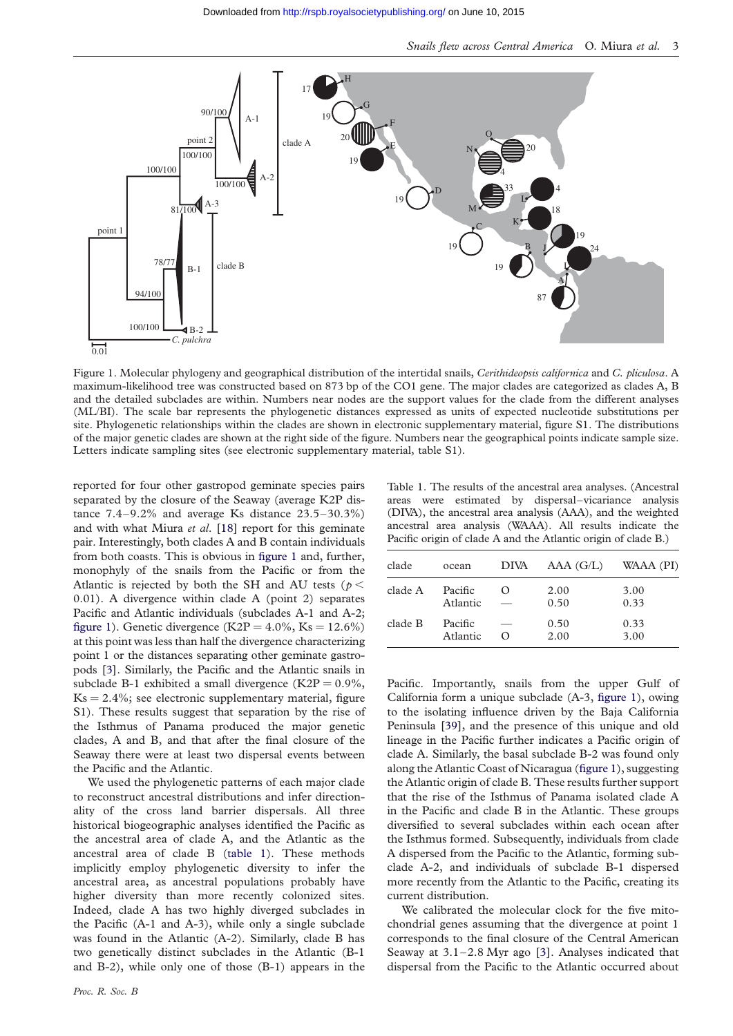<span id="page-2-0"></span>

Figure 1. Molecular phylogeny and geographical distribution of the intertidal snails, Cerithideopsis californica and C. pliculosa. A maximum-likelihood tree was constructed based on 873 bp of the CO1 gene. The major clades are categorized as clades A, B and the detailed subclades are within. Numbers near nodes are the support values for the clade from the different analyses (ML/BI). The scale bar represents the phylogenetic distances expressed as units of expected nucleotide substitutions per site. Phylogenetic relationships within the clades are shown in electronic supplementary material, figure S1. The distributions of the major genetic clades are shown at the right side of the figure. Numbers near the geographical points indicate sample size. Letters indicate sampling sites (see electronic supplementary material, table S1).

reported for four other gastropod geminate species pairs separated by the closure of the Seaway (average K2P distance  $7.4-9.2\%$  and average Ks distance  $23.5-30.3\%$ ) and with what Miura et al. [\[18\]](#page-5-0) report for this geminate pair. Interestingly, both clades A and B contain individuals from both coasts. This is obvious in figure 1 and, further, monophyly of the snails from the Pacific or from the Atlantic is rejected by both the SH and AU tests ( $p <$ 0.01). A divergence within clade A (point 2) separates Pacific and Atlantic individuals (subclades A-1 and A-2; figure 1). Genetic divergence (K2P =  $4.0\%$ , Ks =  $12.6\%$ ) at this point was less than half the divergence characterizing point 1 or the distances separating other geminate gastropods [\[3](#page-5-0)]. Similarly, the Pacific and the Atlantic snails in subclade B-1 exhibited a small divergence  $(K2P = 0.9\%,$  $Ks = 2.4\%$ ; see electronic supplementary material, figure S1). These results suggest that separation by the rise of the Isthmus of Panama produced the major genetic clades, A and B, and that after the final closure of the Seaway there were at least two dispersal events between the Pacific and the Atlantic.

We used the phylogenetic patterns of each major clade to reconstruct ancestral distributions and infer directionality of the cross land barrier dispersals. All three historical biogeographic analyses identified the Pacific as the ancestral area of clade A, and the Atlantic as the ancestral area of clade B (table 1). These methods implicitly employ phylogenetic diversity to infer the ancestral area, as ancestral populations probably have higher diversity than more recently colonized sites. Indeed, clade A has two highly diverged subclades in the Pacific (A-1 and A-3), while only a single subclade was found in the Atlantic (A-2). Similarly, clade B has two genetically distinct subclades in the Atlantic (B-1 and B-2), while only one of those (B-1) appears in the

Table 1. The results of the ancestral area analyses. (Ancestral areas were estimated by dispersal–vicariance analysis (DIVA), the ancestral area analysis (AAA), and the weighted ancestral area analysis (WAAA). All results indicate the Pacific origin of clade A and the Atlantic origin of clade B.)

| clade   | ocean               | DIVA                  | AAA(G/L)     | WAAA (PI)    |
|---------|---------------------|-----------------------|--------------|--------------|
| clade A | Pacific<br>Atlantic | $\left( \right)$      | 2.00<br>0.50 | 3.00<br>0.33 |
| clade B | Pacific<br>Atlantic | -<br>$\left( \right)$ | 0.50<br>2.00 | 0.33<br>3.00 |

Pacific. Importantly, snails from the upper Gulf of California form a unique subclade (A-3, figure 1), owing to the isolating influence driven by the Baja California Peninsula [\[39\]](#page-6-0), and the presence of this unique and old lineage in the Pacific further indicates a Pacific origin of clade A. Similarly, the basal subclade B-2 was found only along the Atlantic Coast of Nicaragua (figure 1), suggesting the Atlantic origin of clade B. These results further support that the rise of the Isthmus of Panama isolated clade A in the Pacific and clade B in the Atlantic. These groups diversified to several subclades within each ocean after the Isthmus formed. Subsequently, individuals from clade A dispersed from the Pacific to the Atlantic, forming subclade A-2, and individuals of subclade B-1 dispersed more recently from the Atlantic to the Pacific, creating its current distribution.

We calibrated the molecular clock for the five mitochondrial genes assuming that the divergence at point 1 corresponds to the final closure of the Central American Seaway at  $3.1 - 2.8$  Myr ago [[3\]](#page-5-0). Analyses indicated that dispersal from the Pacific to the Atlantic occurred about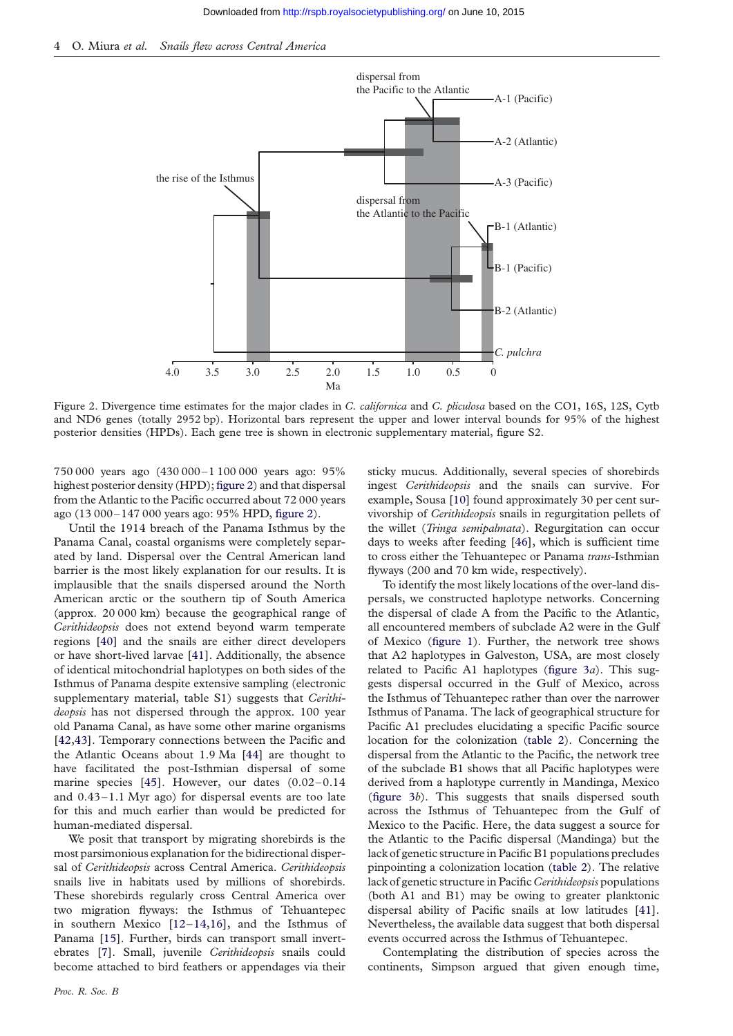

Figure 2. Divergence time estimates for the major clades in C. californica and C. pliculosa based on the CO1, 16S, 12S, Cytb and ND6 genes (totally 2952 bp). Horizontal bars represent the upper and lower interval bounds for 95% of the highest posterior densities (HPDs). Each gene tree is shown in electronic supplementary material, figure S2.

750 000 years ago (430 000–1 100 000 years ago: 95% highest posterior density (HPD); figure 2) and that dispersal from the Atlantic to the Pacific occurred about 72 000 years ago (13 000–147 000 years ago: 95% HPD, figure 2).

Until the 1914 breach of the Panama Isthmus by the Panama Canal, coastal organisms were completely separated by land. Dispersal over the Central American land barrier is the most likely explanation for our results. It is implausible that the snails dispersed around the North American arctic or the southern tip of South America (approx. 20 000 km) because the geographical range of Cerithideopsis does not extend beyond warm temperate regions [\[40\]](#page-6-0) and the snails are either direct developers or have short-lived larvae [[41](#page-6-0)]. Additionally, the absence of identical mitochondrial haplotypes on both sides of the Isthmus of Panama despite extensive sampling (electronic supplementary material, table S1) suggests that Cerithideopsis has not dispersed through the approx. 100 year old Panama Canal, as have some other marine organisms [\[42,43](#page-6-0)]. Temporary connections between the Pacific and the Atlantic Oceans about 1.9 Ma [[44](#page-6-0)] are thought to have facilitated the post-Isthmian dispersal of some marine species [\[45\]](#page-6-0). However, our dates  $(0.02-0.14)$ and  $0.43 - 1.1$  Myr ago) for dispersal events are too late for this and much earlier than would be predicted for human-mediated dispersal.

We posit that transport by migrating shorebirds is the most parsimonious explanation for the bidirectional dispersal of Cerithideopsis across Central America. Cerithideopsis snails live in habitats used by millions of shorebirds. These shorebirds regularly cross Central America over two migration flyways: the Isthmus of Tehuantepec in southern Mexico [\[12](#page-5-0)–[14,16\]](#page-5-0), and the Isthmus of Panama [\[15\]](#page-5-0). Further, birds can transport small invertebrates [\[7\]](#page-5-0). Small, juvenile Cerithideopsis snails could become attached to bird feathers or appendages via their sticky mucus. Additionally, several species of shorebirds ingest Cerithideopsis and the snails can survive. For example, Sousa [\[10\]](#page-5-0) found approximately 30 per cent survivorship of Cerithideopsis snails in regurgitation pellets of the willet (Tringa semipalmata). Regurgitation can occur days to weeks after feeding [\[46\]](#page-6-0), which is sufficient time to cross either the Tehuantepec or Panama trans-Isthmian flyways (200 and 70 km wide, respectively).

To identify the most likely locations of the over-land dispersals, we constructed haplotype networks. Concerning the dispersal of clade A from the Pacific to the Atlantic, all encountered members of subclade A2 were in the Gulf of Mexico ([figure 1\)](#page-2-0). Further, the network tree shows that A2 haplotypes in Galveston, USA, are most closely related to Pacific A1 haplotypes (figure  $3a$ ). This suggests dispersal occurred in the Gulf of Mexico, across the Isthmus of Tehuantepec rather than over the narrower Isthmus of Panama. The lack of geographical structure for Pacific A1 precludes elucidating a specific Pacific source location for the colonization ([table 2\)](#page-4-0). Concerning the dispersal from the Atlantic to the Pacific, the network tree of the subclade B1 shows that all Pacific haplotypes were derived from a haplotype currently in Mandinga, Mexico [\(figure 3](#page-4-0)b). This suggests that snails dispersed south across the Isthmus of Tehuantepec from the Gulf of Mexico to the Pacific. Here, the data suggest a source for the Atlantic to the Pacific dispersal (Mandinga) but the lack of genetic structure in Pacific B1 populations precludes pinpointing a colonization location ([table 2](#page-4-0)). The relative lack of genetic structure in Pacific Cerithideopsis populations (both A1 and B1) may be owing to greater planktonic dispersal ability of Pacific snails at low latitudes [\[41](#page-6-0)]. Nevertheless, the available data suggest that both dispersal events occurred across the Isthmus of Tehuantepec.

Contemplating the distribution of species across the continents, Simpson argued that given enough time,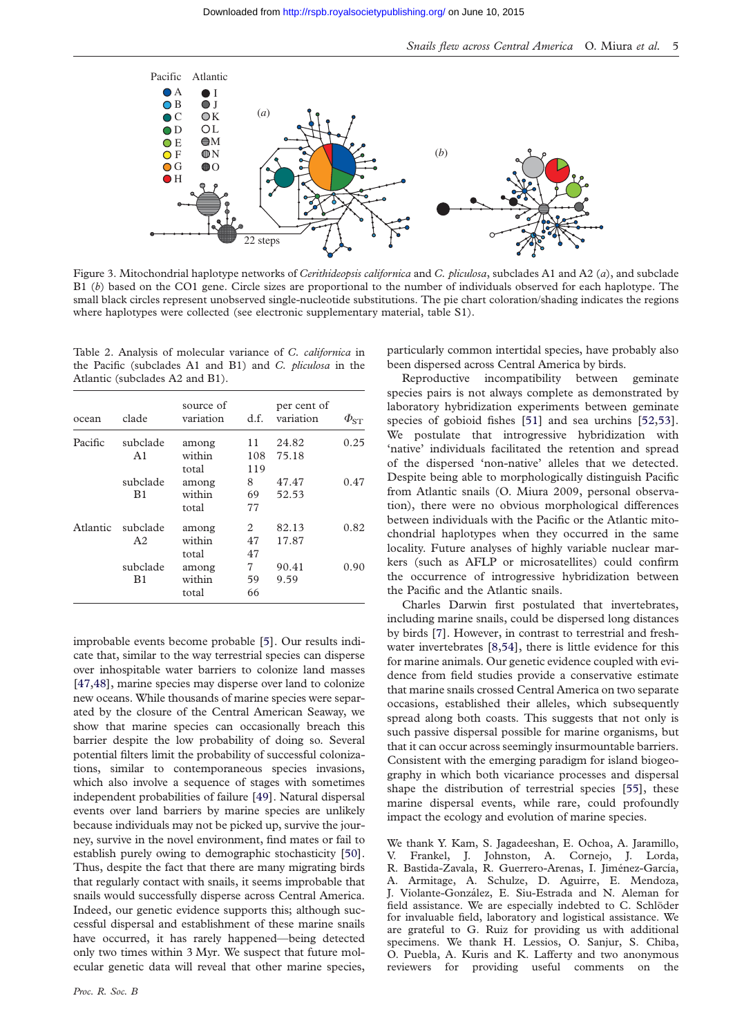<span id="page-4-0"></span>

Figure 3. Mitochondrial haplotype networks of Cerithideopsis californica and C. pliculosa, subclades A1 and A2 (a), and subclade B1 (b) based on the CO1 gene. Circle sizes are proportional to the number of individuals observed for each haplotype. The small black circles represent unobserved single-nucleotide substitutions. The pie chart coloration/shading indicates the regions where haplotypes were collected (see electronic supplementary material, table S1).

Table 2. Analysis of molecular variance of C. californica in the Pacific (subclades A1 and B1) and C. pliculosa in the Atlantic (subclades A2 and B1).

| ocean    | clade          | source of<br>variation   | d.f.                       | per cent of<br>variation | $\phi_{\text{ST}}$ |
|----------|----------------|--------------------------|----------------------------|--------------------------|--------------------|
| Pacific  | subclade<br>A1 | among<br>within<br>total | 11<br>108<br>119           | 24.82<br>75.18           | 0.25               |
|          | subclade<br>B1 | among<br>within<br>total | 8<br>69<br>77              | 47.47<br>52.53           | 0.47               |
| Atlantic | subclade<br>A2 | among<br>within<br>total | $\mathfrak{D}$<br>47<br>47 | 82.13<br>17.87           | 0.82               |
|          | subclade<br>B1 | among<br>within<br>total | 7<br>59<br>66              | 90.41<br>9.59            | 0.90               |

improbable events become probable [\[5](#page-5-0)]. Our results indicate that, similar to the way terrestrial species can disperse over inhospitable water barriers to colonize land masses [\[47,48](#page-6-0)], marine species may disperse over land to colonize new oceans. While thousands of marine species were separated by the closure of the Central American Seaway, we show that marine species can occasionally breach this barrier despite the low probability of doing so. Several potential filters limit the probability of successful colonizations, similar to contemporaneous species invasions, which also involve a sequence of stages with sometimes independent probabilities of failure [\[49](#page-6-0)]. Natural dispersal events over land barriers by marine species are unlikely because individuals may not be picked up, survive the journey, survive in the novel environment, find mates or fail to establish purely owing to demographic stochasticity [\[50](#page-6-0)]. Thus, despite the fact that there are many migrating birds that regularly contact with snails, it seems improbable that snails would successfully disperse across Central America. Indeed, our genetic evidence supports this; although successful dispersal and establishment of these marine snails have occurred, it has rarely happened—being detected only two times within 3 Myr. We suspect that future molecular genetic data will reveal that other marine species, particularly common intertidal species, have probably also been dispersed across Central America by birds.

Reproductive incompatibility between geminate species pairs is not always complete as demonstrated by laboratory hybridization experiments between geminate species of gobioid fishes [[51](#page-6-0)] and sea urchins [\[52,53](#page-6-0)]. We postulate that introgressive hybridization with 'native' individuals facilitated the retention and spread of the dispersed 'non-native' alleles that we detected. Despite being able to morphologically distinguish Pacific from Atlantic snails (O. Miura 2009, personal observation), there were no obvious morphological differences between individuals with the Pacific or the Atlantic mitochondrial haplotypes when they occurred in the same locality. Future analyses of highly variable nuclear markers (such as AFLP or microsatellites) could confirm the occurrence of introgressive hybridization between the Pacific and the Atlantic snails.

Charles Darwin first postulated that invertebrates, including marine snails, could be dispersed long distances by birds [\[7](#page-5-0)]. However, in contrast to terrestrial and freshwater invertebrates [\[8](#page-5-0)[,54\]](#page-6-0), there is little evidence for this for marine animals. Our genetic evidence coupled with evidence from field studies provide a conservative estimate that marine snails crossed Central America on two separate occasions, established their alleles, which subsequently spread along both coasts. This suggests that not only is such passive dispersal possible for marine organisms, but that it can occur across seemingly insurmountable barriers. Consistent with the emerging paradigm for island biogeography in which both vicariance processes and dispersal shape the distribution of terrestrial species [[55](#page-6-0)], these marine dispersal events, while rare, could profoundly impact the ecology and evolution of marine species.

We thank Y. Kam, S. Jagadeeshan, E. Ochoa, A. Jaramillo, V. Frankel, J. Johnston, A. Cornejo, J. Lorda, R. Bastida-Zavala, R. Guerrero-Arenas, I. Jiménez-García, A. Armitage, A. Schulze, D. Aguirre, E. Mendoza, J. Violante-González, E. Siu-Estrada and N. Aleman for field assistance. We are especially indebted to C. Schlöder for invaluable field, laboratory and logistical assistance. We are grateful to G. Ruiz for providing us with additional specimens. We thank H. Lessios, O. Sanjur, S. Chiba, O. Puebla, A. Kuris and K. Lafferty and two anonymous reviewers for providing useful comments on the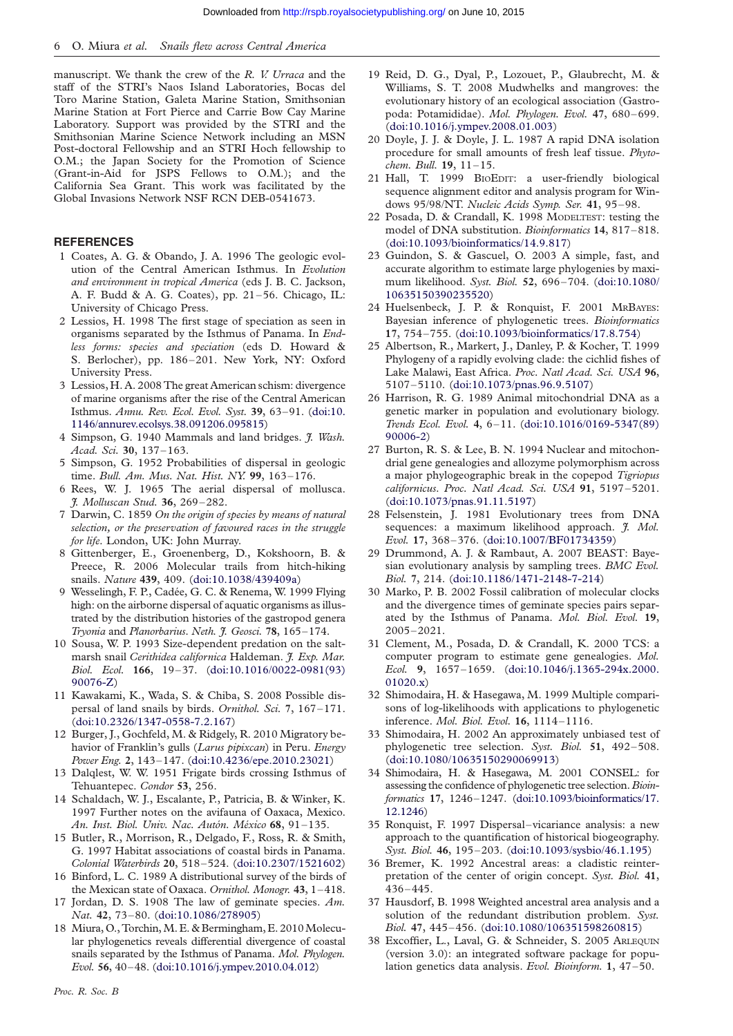<span id="page-5-0"></span>manuscript. We thank the crew of the R. V. Urraca and the staff of the STRI's Naos Island Laboratories, Bocas del Toro Marine Station, Galeta Marine Station, Smithsonian Marine Station at Fort Pierce and Carrie Bow Cay Marine Laboratory. Support was provided by the STRI and the Smithsonian Marine Science Network including an MSN Post-doctoral Fellowship and an STRI Hoch fellowship to O.M.; the Japan Society for the Promotion of Science (Grant-in-Aid for JSPS Fellows to O.M.); and the California Sea Grant. This work was facilitated by the Global Invasions Network NSF RCN DEB-0541673.

# **REFERENCES**

- 1 Coates, A. G. & Obando, J. A. 1996 The geologic evolution of the Central American Isthmus. In Evolution and environment in tropical America (eds J. B. C. Jackson, A. F. Budd & A. G. Coates), pp. 21–56. Chicago, IL: University of Chicago Press.
- 2 Lessios, H. 1998 The first stage of speciation as seen in organisms separated by the Isthmus of Panama. In Endless forms: species and speciation (eds D. Howard & S. Berlocher), pp. 186 –201. New York, NY: Oxford University Press.
- 3 Lessios, H. A. 2008 The great American schism: divergence of marine organisms after the rise of the Central American Isthmus. Annu. Rev. Ecol. Evol. Syst. 39, 63–91. ([doi:10.](http://dx.doi.org/10.1146/annurev.ecolsys.38.091206.095815) [1146/annurev.ecolsys.38.091206.095815\)](http://dx.doi.org/10.1146/annurev.ecolsys.38.091206.095815)
- 4 Simpson, G. 1940 Mammals and land bridges. *J. Wash.* Acad. Sci. 30, 137–163.
- 5 Simpson, G. 1952 Probabilities of dispersal in geologic time. Bull. Am. Mus. Nat. Hist. NY. 99, 163-176.
- 6 Rees, W. J. 1965 The aerial dispersal of mollusca. J. Molluscan Stud. 36, 269 –282.
- 7 Darwin, C. 1859 On the origin of species by means of natural selection, or the preservation of favoured races in the struggle for life. London, UK: John Murray.
- 8 Gittenberger, E., Groenenberg, D., Kokshoorn, B. & Preece, R. 2006 Molecular trails from hitch-hiking snails. Nature 439, 409. [\(doi:10.1038/439409a](http://dx.doi.org/10.1038/439409a))
- 9 Wesselingh, F. P., Cadée, G. C. & Renema, W. 1999 Flying high: on the airborne dispersal of aquatic organisms as illustrated by the distribution histories of the gastropod genera Tryonia and Planorbarius. Neth. J. Geosci. 78, 165-174.
- 10 Sousa, W. P. 1993 Size-dependent predation on the saltmarsh snail Cerithidea californica Haldeman. J. Exp. Mar. Biol. Ecol. 166, 19–37. ([doi:10.1016/0022-0981\(93\)](http://dx.doi.org/10.1016/0022-0981(93)90076-Z) [90076-Z](http://dx.doi.org/10.1016/0022-0981(93)90076-Z))
- 11 Kawakami, K., Wada, S. & Chiba, S. 2008 Possible dispersal of land snails by birds. Ornithol. Sci. 7, 167-171. ([doi:10.2326/1347-0558-7.2.167\)](http://dx.doi.org/10.2326/1347-0558-7.2.167)
- 12 Burger, J., Gochfeld, M. & Ridgely, R. 2010 Migratory behavior of Franklin's gulls (Larus pipixcan) in Peru. Energy Power Eng. 2, 143–147. ([doi:10.4236/epe.2010.23021\)](http://dx.doi.org/10.4236/epe.2010.23021)
- 13 Dalqlest, W. W. 1951 Frigate birds crossing Isthmus of Tehuantepec. Condor 53, 256.
- 14 Schaldach, W. J., Escalante, P., Patricia, B. & Winker, K. 1997 Further notes on the avifauna of Oaxaca, Mexico. An. Inst. Biol. Univ. Nac. Autón. México 68, 91-135.
- 15 Butler, R., Morrison, R., Delgado, F., Ross, R. & Smith, G. 1997 Habitat associations of coastal birds in Panama. Colonial Waterbirds 20, 518 –524. ([doi:10.2307/1521602](http://dx.doi.org/10.2307/1521602))
- 16 Binford, L. C. 1989 A distributional survey of the birds of the Mexican state of Oaxaca. Ornithol. Monogr. 43, 1–418.
- 17 Jordan, D. S. 1908 The law of geminate species. Am. Nat. 42, 73–80. ([doi:10.1086/278905\)](http://dx.doi.org/10.1086/278905)
- 18 Miura, O., Torchin,M. E. & Bermingham, E. 2010Molecular phylogenetics reveals differential divergence of coastal snails separated by the Isthmus of Panama. Mol. Phylogen. Evol. 56, 40–48. [\(doi:10.1016/j.ympev.2010.04.012\)](http://dx.doi.org/10.1016/j.ympev.2010.04.012)
- 20 Doyle, J. J. & Doyle, J. L. 1987 A rapid DNA isolation procedure for small amounts of fresh leaf tissue. Phytochem. Bull. **19**, 11-15.
- 21 Hall, T. 1999 BIOEDIT: a user-friendly biological sequence alignment editor and analysis program for Windows 95/98/NT. Nucleic Acids Symp. Ser. 41, 95–98.
- 22 Posada, D. & Crandall, K. 1998 MODELTEST: testing the model of DNA substitution. *Bioinformatics* 14, 817-818. ([doi:10.1093/bioinformatics/14.9.817\)](http://dx.doi.org/10.1093/bioinformatics/14.9.817)
- 23 Guindon, S. & Gascuel, O. 2003 A simple, fast, and accurate algorithm to estimate large phylogenies by maximum likelihood. Syst. Biol. 52, 696 –704. ([doi:10.1080/](http://dx.doi.org/10.1080/10635150390235520) [10635150390235520\)](http://dx.doi.org/10.1080/10635150390235520)
- 24 Huelsenbeck, J. P. & Ronquist, F. 2001 MRBAYES: Bayesian inference of phylogenetic trees. Bioinformatics 17, 754 –755. [\(doi:10.1093/bioinformatics/17.8.754](http://dx.doi.org/10.1093/bioinformatics/17.8.754))
- 25 Albertson, R., Markert, J., Danley, P. & Kocher, T. 1999 Phylogeny of a rapidly evolving clade: the cichlid fishes of Lake Malawi, East Africa. Proc. Natl Acad. Sci. USA 96, 5107–5110. [\(doi:10.1073/pnas.96.9.5107\)](http://dx.doi.org/10.1073/pnas.96.9.5107)
- 26 Harrison, R. G. 1989 Animal mitochondrial DNA as a genetic marker in population and evolutionary biology. Trends Ecol. Evol. 4, 6–11. ([doi:10.1016/0169-5347\(89\)](http://dx.doi.org/10.1016/0169-5347(89)90006-2) [90006-2](http://dx.doi.org/10.1016/0169-5347(89)90006-2))
- 27 Burton, R. S. & Lee, B. N. 1994 Nuclear and mitochondrial gene genealogies and allozyme polymorphism across a major phylogeographic break in the copepod Tigriopus californicus. Proc. Natl Acad. Sci. USA 91, 5197–5201. ([doi:10.1073/pnas.91.11.5197](http://dx.doi.org/10.1073/pnas.91.11.5197))
- 28 Felsenstein, J. 1981 Evolutionary trees from DNA sequences: a maximum likelihood approach. *J. Mol.* Evol. 17, 368 –376. ([doi:10.1007/BF01734359\)](http://dx.doi.org/10.1007/BF01734359)
- 29 Drummond, A. J. & Rambaut, A. 2007 BEAST: Bayesian evolutionary analysis by sampling trees. BMC Evol. Biol. 7, 214. [\(doi:10.1186/1471-2148-7-214\)](http://dx.doi.org/10.1186/1471-2148-7-214)
- 30 Marko, P. B. 2002 Fossil calibration of molecular clocks and the divergence times of geminate species pairs separated by the Isthmus of Panama. Mol. Biol. Evol. 19, 2005–2021.
- 31 Clement, M., Posada, D. & Crandall, K. 2000 TCS: a computer program to estimate gene genealogies. Mol. Ecol. 9, 1657–1659. [\(doi:10.1046/j.1365-294x.2000.](http://dx.doi.org/10.1046/j.1365-294x.2000.01020.x) [01020.x](http://dx.doi.org/10.1046/j.1365-294x.2000.01020.x))
- 32 Shimodaira, H. & Hasegawa, M. 1999 Multiple comparisons of log-likelihoods with applications to phylogenetic inference. Mol. Biol. Evol. 16, 1114–1116.
- 33 Shimodaira, H. 2002 An approximately unbiased test of phylogenetic tree selection. Syst. Biol. 51, 492-508. ([doi:10.1080/10635150290069913](http://dx.doi.org/10.1080/10635150290069913))
- 34 Shimodaira, H. & Hasegawa, M. 2001 CONSEL: for assessing the confidence of phylogenetic tree selection. Bioinformatics 17, 1246–1247. [\(doi:10.1093/bioinformatics/17.](http://dx.doi.org/10.1093/bioinformatics/17.12.1246) [12.1246](http://dx.doi.org/10.1093/bioinformatics/17.12.1246))
- 35 Ronquist, F. 1997 Dispersal–vicariance analysis: a new approach to the quantification of historical biogeography. Syst. Biol. 46, 195–203. [\(doi:10.1093/sysbio/46.1.195](http://dx.doi.org/10.1093/sysbio/46.1.195))
- 36 Bremer, K. 1992 Ancestral areas: a cladistic reinterpretation of the center of origin concept. Syst. Biol. 41, 436–445.
- 37 Hausdorf, B. 1998 Weighted ancestral area analysis and a solution of the redundant distribution problem. Syst. Biol. 47, 445–456. [\(doi:10.1080/106351598260815\)](http://dx.doi.org/10.1080/106351598260815)
- 38 Excoffier, L., Laval, G. & Schneider, S. 2005 ARLEQUIN (version 3.0): an integrated software package for population genetics data analysis. Evol. Bioinform. 1, 47-50.